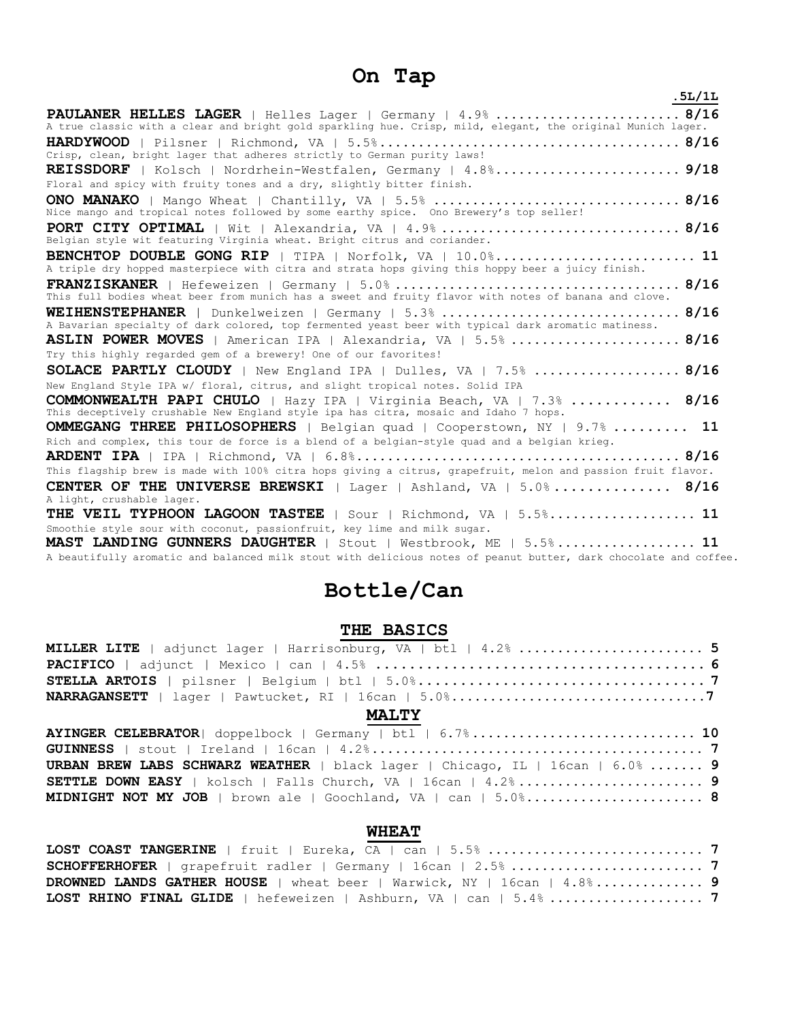# **On Tap**

| .5L/1L                                                                                                                                                              |
|---------------------------------------------------------------------------------------------------------------------------------------------------------------------|
| PAULANER HELLES LAGER   Helles Lager   Germany   4.9%  8/16                                                                                                         |
| A true classic with a clear and bright gold sparkling hue. Crisp, mild, elegant, the original Munich lager.                                                         |
| Crisp, clean, bright lager that adheres strictly to German purity laws!                                                                                             |
| REISSDORF   Kolsch   Nordrhein-Westfalen, Germany   4.8% 9/18<br>Floral and spicy with fruity tones and a dry, slightly bitter finish.                              |
| Nice mango and tropical notes followed by some earthy spice. Ono Brewery's top seller!                                                                              |
| Belgian style wit featuring Virginia wheat. Bright citrus and coriander.                                                                                            |
| BENCHTOP DOUBLE GONG RIP   TIPA   Norfolk, VA   10.0% 11<br>A triple dry hopped masterpiece with citra and strata hops giving this hoppy beer a juicy finish.       |
| This full bodies wheat beer from munich has a sweet and fruity flavor with notes of banana and clove.                                                               |
| <b>WEIHENSTEPHANER</b>   Dunkelweizen   Germany   5.3%  8/16<br>A Bavarian specialty of dark colored, top fermented yeast beer with typical dark aromatic matiness. |
| <b>ASLIN POWER MOVES</b>   American IPA   Alexandria, VA   $5.5\%$ 8/16                                                                                             |
| Try this highly regarded gem of a brewery! One of our favorites!                                                                                                    |
| SOLACE PARTLY CLOUDY   New England IPA   Dulles, VA   7.5%  8/16                                                                                                    |
| New England Style IPA w/ floral, citrus, and slight tropical notes. Solid IPA                                                                                       |
| COMMONWEALTH PAPI CHULO   Hazy IPA   Virginia Beach, VA   7.3%  8/16<br>This deceptively crushable New England style ipa has citra, mosaic and Idaho 7 hops.        |
| <b>OMMEGANG THREE PHILOSOPHERS</b>   Belgian quad   Cooperstown, NY   9.7%  11                                                                                      |
| Rich and complex, this tour de force is a blend of a belgian-style quad and a belgian krieg.                                                                        |
|                                                                                                                                                                     |
| This flagship brew is made with 100% citra hops giving a citrus, grapefruit, melon and passion fruit flavor.                                                        |
| <b>CENTER OF THE UNIVERSE BREWSKI</b>   Lager   Ashland, VA   5.0% 8/16<br>A light, crushable lager.                                                                |
| THE VEIL TYPHOON LAGOON TASTEE   Sour   Richmond, VA   5.5% 11                                                                                                      |
| Smoothie style sour with coconut, passionfruit, key lime and milk sugar.                                                                                            |
| MAST LANDING GUNNERS DAUGHTER   Stout   Westbrook, ME   5.5% 11                                                                                                     |
| A beautifully aromatic and balanced milk stout with delicious notes of peanut butter, dark chocolate and coffee.                                                    |

# **Bottle/Can**

# **THE BASICS**

| MILLER LITE   adjunct lager   Harrisonburg, VA   btl   4.2%  5                       |
|--------------------------------------------------------------------------------------|
|                                                                                      |
|                                                                                      |
|                                                                                      |
| <b>MALTY</b>                                                                         |
| AYINGER CELEBRATOR  doppelbock   Germany   btl   6.7% 10                             |
|                                                                                      |
| <b>URBAN BREW LABS SCHWARZ WEATHER</b>   black lager   Chicago, IL   16can   6.0%  9 |
|                                                                                      |
|                                                                                      |

# **WHEAT**

| DROWNED LANDS GATHER HOUSE   wheat beer   Warwick, NY   16can   4.8% 9 |  |
|------------------------------------------------------------------------|--|
|                                                                        |  |